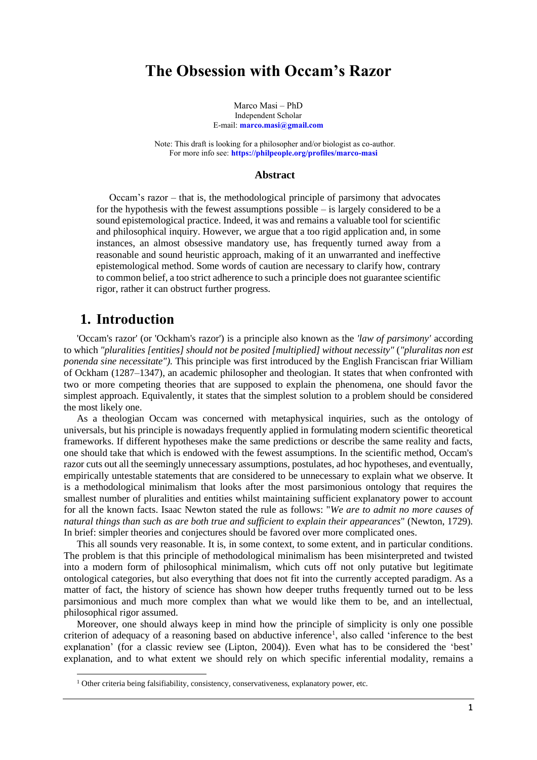# **The Obsession with Occam's Razor**

Marco Masi – PhD Independent Scholar E-mail: **[marco.masi@gmail.com](mailto:marco.masi@gmail.com)**

Note: This draft is looking for a philosopher and/or biologist as co-author. For more info see: **<https://philpeople.org/profiles/marco-masi>**

#### **Abstract**

Occam's razor – that is, the methodological principle of parsimony that advocates for the hypothesis with the fewest assumptions possible – is largely considered to be a sound epistemological practice. Indeed, it was and remains a valuable tool for scientific and philosophical inquiry. However, we argue that a too rigid application and, in some instances, an almost obsessive mandatory use, has frequently turned away from a reasonable and sound heuristic approach, making of it an unwarranted and ineffective epistemological method. Some words of caution are necessary to clarify how, contrary to common belief, a too strict adherence to such a principle does not guarantee scientific rigor, rather it can obstruct further progress.

### **1. Introduction**

'Occam's razor' (or 'Ockham's razor') is a principle also known as the *'law of parsimony'* according to which *"pluralities [entities] should not be posited [multiplied] without necessity"* (*"pluralitas non est ponenda sine necessitate").* This principle was first introduced by the English Franciscan friar William of Ockham (1287–1347), an academic philosopher and theologian. It states that when confronted with two or more competing theories that are supposed to explain the phenomena, one should favor the simplest approach. Equivalently, it states that the simplest solution to a problem should be considered the most likely one.

As a theologian Occam was concerned with metaphysical inquiries, such as the ontology of universals, but his principle is nowadays frequently applied in formulating modern scientific theoretical frameworks. If different hypotheses make the same predictions or describe the same reality and facts, one should take that which is endowed with the fewest assumptions. In the scientific method, Occam's razor cuts out all the seemingly unnecessary assumptions, postulates, ad hoc hypotheses, and eventually, empirically untestable statements that are considered to be unnecessary to explain what we observe. It is a methodological minimalism that looks after the most parsimonious ontology that requires the smallest number of pluralities and entities whilst maintaining sufficient explanatory power to account for all the known facts. Isaac Newton stated the rule as follows: "*We are to admit no more causes of natural things than such as are both true and sufficient to explain their appearances*" (Newton, 1729)*.* In brief: simpler theories and conjectures should be favored over more complicated ones.

This all sounds very reasonable. It is, in some context, to some extent, and in particular conditions. The problem is that this principle of methodological minimalism has been misinterpreted and twisted into a modern form of philosophical minimalism, which cuts off not only putative but legitimate ontological categories, but also everything that does not fit into the currently accepted paradigm. As a matter of fact, the history of science has shown how deeper truths frequently turned out to be less parsimonious and much more complex than what we would like them to be, and an intellectual, philosophical rigor assumed.

Moreover, one should always keep in mind how the principle of simplicity is only one possible criterion of adequacy of a reasoning based on abductive inference<sup>1</sup>, also called 'inference to the best explanation' (for a classic review see (Lipton, 2004)). Even what has to be considered the 'best' explanation, and to what extent we should rely on which specific inferential modality, remains a

<sup>&</sup>lt;sup>1</sup> Other criteria being falsifiability, consistency, conservativeness, explanatory power, etc.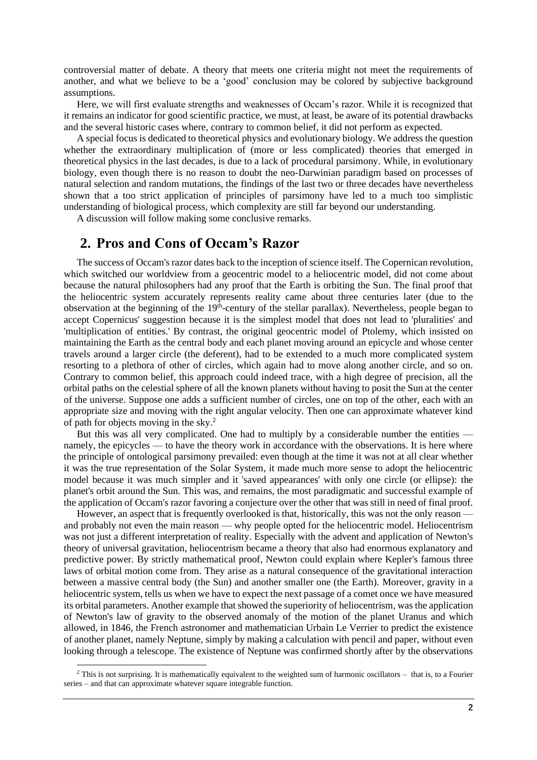controversial matter of debate. A theory that meets one criteria might not meet the requirements of another, and what we believe to be a 'good' conclusion may be colored by subjective background assumptions.

Here, we will first evaluate strengths and weaknesses of Occam's razor. While it is recognized that it remains an indicator for good scientific practice, we must, at least, be aware of its potential drawbacks and the several historic cases where, contrary to common belief, it did not perform as expected.

A special focus is dedicated to theoretical physics and evolutionary biology. We address the question whether the extraordinary multiplication of (more or less complicated) theories that emerged in theoretical physics in the last decades, is due to a lack of procedural parsimony. While, in evolutionary biology, even though there is no reason to doubt the neo-Darwinian paradigm based on processes of natural selection and random mutations, the findings of the last two or three decades have nevertheless shown that a too strict application of principles of parsimony have led to a much too simplistic understanding of biological process, which complexity are still far beyond our understanding.

A discussion will follow making some conclusive remarks.

## **2. Pros and Cons of Occam's Razor**

The success of Occam's razor dates back to the inception of science itself. The Copernican revolution, which switched our worldview from a geocentric model to a heliocentric model, did not come about because the natural philosophers had any proof that the Earth is orbiting the Sun. The final proof that the heliocentric system accurately represents reality came about three centuries later (due to the observation at the beginning of the 19<sup>th</sup>-century of the stellar parallax). Nevertheless, people began to accept Copernicus' suggestion because it is the simplest model that does not lead to 'pluralities' and 'multiplication of entities.' By contrast, the original geocentric model of Ptolemy, which insisted on maintaining the Earth as the central body and each planet moving around an epicycle and whose center travels around a larger circle (the deferent), had to be extended to a much more complicated system resorting to a plethora of other of circles, which again had to move along another circle, and so on. Contrary to common belief, this approach could indeed trace, with a high degree of precision, all the orbital paths on the celestial sphere of all the known planets without having to posit the Sun at the center of the universe. Suppose one adds a sufficient number of circles, one on top of the other, each with an appropriate size and moving with the right angular velocity. Then one can approximate whatever kind of path for objects moving in the sky. 2

But this was all very complicated. One had to multiply by a considerable number the entities namely, the epicycles — to have the theory work in accordance with the observations. It is here where the principle of ontological parsimony prevailed: even though at the time it was not at all clear whether it was the true representation of the Solar System, it made much more sense to adopt the heliocentric model because it was much simpler and it 'saved appearances' with only one circle (or ellipse): the planet's orbit around the Sun. This was, and remains, the most paradigmatic and successful example of the application of Occam's razor favoring a conjecture over the other that was still in need of final proof.

However, an aspect that is frequently overlooked is that, historically, this was not the only reason and probably not even the main reason — why people opted for the heliocentric model. Heliocentrism was not just a different interpretation of reality. Especially with the advent and application of Newton's theory of universal gravitation, heliocentrism became a theory that also had enormous explanatory and predictive power. By strictly mathematical proof, Newton could explain where Kepler's famous three laws of orbital motion come from. They arise as a natural consequence of the gravitational interaction between a massive central body (the Sun) and another smaller one (the Earth). Moreover, gravity in a heliocentric system, tells us when we have to expect the next passage of a comet once we have measured its orbital parameters. Another example that showed the superiority of heliocentrism, was the application of Newton's law of gravity to the observed anomaly of the motion of the planet Uranus and which allowed, in 1846, the French astronomer and mathematician Urbain Le Verrier to predict the existence of another planet, namely Neptune, simply by making a calculation with pencil and paper, without even looking through a telescope. The existence of Neptune was confirmed shortly after by the observations

 $2$  This is not surprising. It is mathematically equivalent to the weighted sum of harmonic oscillators – that is, to a Fourier series – and that can approximate whatever square integrable function.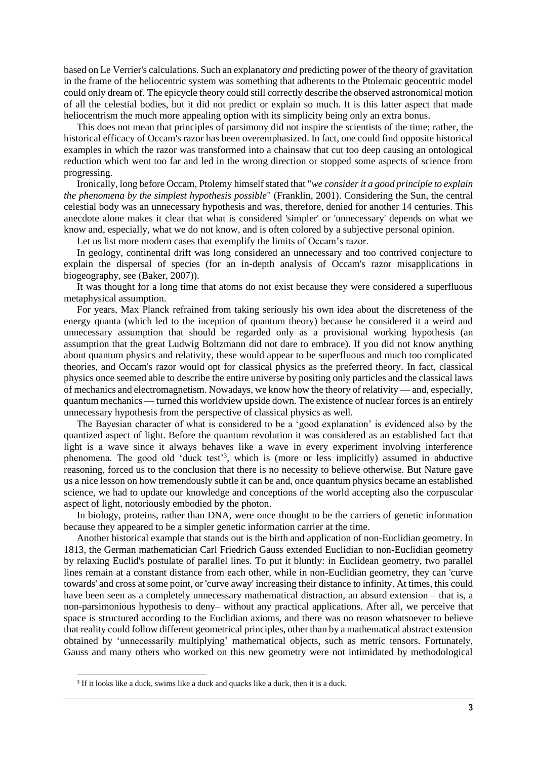based on Le Verrier's calculations. Such an explanatory *and* predicting power of the theory of gravitation in the frame of the heliocentric system was something that adherents to the Ptolemaic geocentric model could only dream of. The epicycle theory could still correctly describe the observed astronomical motion of all the celestial bodies, but it did not predict or explain so much. It is this latter aspect that made heliocentrism the much more appealing option with its simplicity being only an extra bonus.

This does not mean that principles of parsimony did not inspire the scientists of the time; rather, the historical efficacy of Occam's razor has been overemphasized. In fact, one could find opposite historical examples in which the razor was transformed into a chainsaw that cut too deep causing an ontological reduction which went too far and led in the wrong direction or stopped some aspects of science from progressing.

Ironically, long before Occam, Ptolemy himself stated that "*we consider it a good principle to explain the phenomena by the simplest hypothesis possible*" (Franklin, 2001). Considering the Sun, the central celestial body was an unnecessary hypothesis and was, therefore, denied for another 14 centuries. This anecdote alone makes it clear that what is considered 'simpler' or 'unnecessary' depends on what we know and, especially, what we do not know, and is often colored by a subjective personal opinion.

Let us list more modern cases that exemplify the limits of Occam's razor.

In geology, continental drift was long considered an unnecessary and too contrived conjecture to explain the dispersal of species (for an in-depth analysis of Occam's razor misapplications in biogeography, see (Baker, 2007)).

It was thought for a long time that atoms do not exist because they were considered a superfluous metaphysical assumption.

For years, Max Planck refrained from taking seriously his own idea about the discreteness of the energy quanta (which led to the inception of quantum theory) because he considered it a weird and unnecessary assumption that should be regarded only as a provisional working hypothesis (an assumption that the great Ludwig Boltzmann did not dare to embrace). If you did not know anything about quantum physics and relativity, these would appear to be superfluous and much too complicated theories, and Occam's razor would opt for classical physics as the preferred theory. In fact, classical physics once seemed able to describe the entire universe by positing only particles and the classical laws of mechanics and electromagnetism. Nowadays, we know how the theory of relativity — and, especially, quantum mechanics — turned this worldview upside down. The existence of nuclear forces is an entirely unnecessary hypothesis from the perspective of classical physics as well.

The Bayesian character of what is considered to be a 'good explanation' is evidenced also by the quantized aspect of light. Before the quantum revolution it was considered as an established fact that light is a wave since it always behaves like a wave in every experiment involving interference phenomena. The good old 'duck test'<sup>3</sup>, which is (more or less implicitly) assumed in abductive reasoning, forced us to the conclusion that there is no necessity to believe otherwise. But Nature gave us a nice lesson on how tremendously subtle it can be and, once quantum physics became an established science, we had to update our knowledge and conceptions of the world accepting also the corpuscular aspect of light, notoriously embodied by the photon.

In biology, proteins, rather than DNA, were once thought to be the carriers of genetic information because they appeared to be a simpler genetic information carrier at the time.

Another historical example that stands out is the birth and application of non-Euclidian geometry. In 1813, the German mathematician Carl Friedrich Gauss extended Euclidian to non-Euclidian geometry by relaxing Euclid's postulate of parallel lines. To put it bluntly: in Euclidean geometry, two parallel lines remain at a constant distance from each other, while in non-Euclidian geometry, they can 'curve towards' and cross at some point, or 'curve away' increasing their distance to infinity. At times, this could have been seen as a completely unnecessary mathematical distraction, an absurd extension – that is, a non-parsimonious hypothesis to deny– without any practical applications. After all, we perceive that space is structured according to the Euclidian axioms, and there was no reason whatsoever to believe that reality could follow different geometrical principles, other than by a mathematical abstract extension obtained by 'unnecessarily multiplying' mathematical objects, such as metric tensors. Fortunately, Gauss and many others who worked on this new geometry were not intimidated by methodological

<sup>&</sup>lt;sup>3</sup> If it looks like a duck, swims like a duck and quacks like a duck, then it is a duck.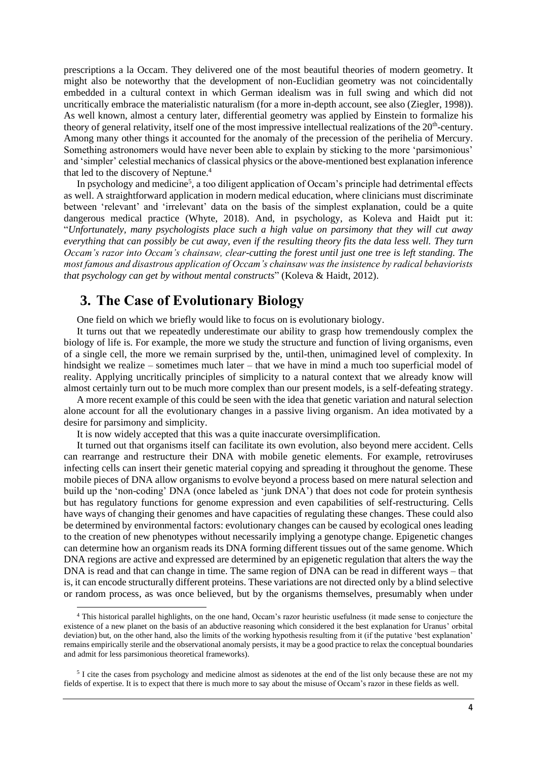prescriptions a la Occam. They delivered one of the most beautiful theories of modern geometry. It might also be noteworthy that the development of non-Euclidian geometry was not coincidentally embedded in a cultural context in which German idealism was in full swing and which did not uncritically embrace the materialistic naturalism (for a more in-depth account, see also (Ziegler, 1998)). As well known, almost a century later, differential geometry was applied by Einstein to formalize his theory of general relativity, itself one of the most impressive intellectual realizations of the 20<sup>th</sup>-century. Among many other things it accounted for the anomaly of the precession of the perihelia of Mercury. Something astronomers would have never been able to explain by sticking to the more 'parsimonious' and 'simpler' celestial mechanics of classical physics or the above-mentioned best explanation inference that led to the discovery of Neptune. 4

In psychology and medicine<sup>5</sup>, a too diligent application of Occam's principle had detrimental effects as well. A straightforward application in modern medical education, where clinicians must discriminate between 'relevant' and 'irrelevant' data on the basis of the simplest explanation, could be a quite dangerous medical practice (Whyte, 2018). And, in psychology, as Koleva and Haidt put it: "*Unfortunately, many psychologists place such a high value on parsimony that they will cut away everything that can possibly be cut away, even if the resulting theory fits the data less well. They turn Occam's razor into Occam's chainsaw, clear-cutting the forest until just one tree is left standing. The most famous and disastrous application of Occam's chainsaw was the insistence by radical behaviorists that psychology can get by without mental constructs*" (Koleva & Haidt, 2012).

## **3. The Case of Evolutionary Biology**

One field on which we briefly would like to focus on is evolutionary biology.

It turns out that we repeatedly underestimate our ability to grasp how tremendously complex the biology of life is. For example, the more we study the structure and function of living organisms, even of a single cell, the more we remain surprised by the, until-then, unimagined level of complexity. In hindsight we realize – sometimes much later – that we have in mind a much too superficial model of reality. Applying uncritically principles of simplicity to a natural context that we already know will almost certainly turn out to be much more complex than our present models, is a self-defeating strategy.

A more recent example of this could be seen with the idea that genetic variation and natural selection alone account for all the evolutionary changes in a passive living organism. An idea motivated by a desire for parsimony and simplicity.

It is now widely accepted that this was a quite inaccurate oversimplification.

It turned out that organisms itself can facilitate its own evolution, also beyond mere accident. Cells can rearrange and restructure their DNA with mobile genetic elements. For example, retroviruses infecting cells can insert their genetic material copying and spreading it throughout the genome. These mobile pieces of DNA allow organisms to evolve beyond a process based on mere natural selection and build up the 'non-coding' DNA (once labeled as 'junk DNA') that does not code for protein synthesis but has regulatory functions for genome expression and even capabilities of self-restructuring. Cells have ways of changing their genomes and have capacities of regulating these changes. These could also be determined by environmental factors: evolutionary changes can be caused by ecological ones leading to the creation of new phenotypes without necessarily implying a genotype change. Epigenetic changes can determine how an organism reads its DNA forming different tissues out of the same genome. Which DNA regions are active and expressed are determined by an epigenetic regulation that alters the way the DNA is read and that can change in time. The same region of DNA can be read in different ways – that is, it can encode structurally different proteins. These variations are not directed only by a blind selective or random process, as was once believed, but by the organisms themselves, presumably when under

<sup>4</sup> This historical parallel highlights, on the one hand, Occam's razor heuristic usefulness (it made sense to conjecture the existence of a new planet on the basis of an abductive reasoning which considered it the best explanation for Uranus' orbital deviation) but, on the other hand, also the limits of the working hypothesis resulting from it (if the putative 'best explanation' remains empirically sterile and the observational anomaly persists, it may be a good practice to relax the conceptual boundaries and admit for less parsimonious theoretical frameworks).

<sup>&</sup>lt;sup>5</sup> I cite the cases from psychology and medicine almost as sidenotes at the end of the list only because these are not my fields of expertise. It is to expect that there is much more to say about the misuse of Occam's razor in these fields as well.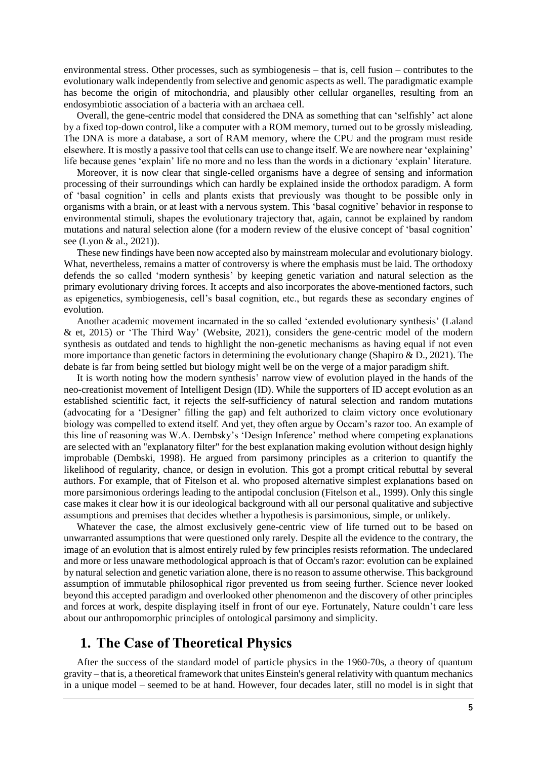environmental stress. Other processes, such as symbiogenesis – that is, cell fusion – contributes to the evolutionary walk independently from selective and genomic aspects as well. The paradigmatic example has become the origin of mitochondria, and plausibly other cellular organelles, resulting from an endosymbiotic association of a bacteria with an archaea cell.

Overall, the gene-centric model that considered the DNA as something that can 'selfishly' act alone by a fixed top-down control, like a computer with a ROM memory, turned out to be grossly misleading. The DNA is more a database, a sort of RAM memory, where the CPU and the program must reside elsewhere. It is mostly a passive tool that cells can use to change itself. We are nowhere near 'explaining' life because genes 'explain' life no more and no less than the words in a dictionary 'explain' literature.

Moreover, it is now clear that single-celled organisms have a degree of sensing and information processing of their surroundings which can hardly be explained inside the orthodox paradigm. A form of 'basal cognition' in cells and plants exists that previously was thought to be possible only in organisms with a brain, or at least with a nervous system. This 'basal cognitive' behavior in response to environmental stimuli, shapes the evolutionary trajectory that, again, cannot be explained by random mutations and natural selection alone (for a modern review of the elusive concept of 'basal cognition' see (Lyon & al., 2021)).

These new findings have been now accepted also by mainstream molecular and evolutionary biology. What, nevertheless, remains a matter of controversy is where the emphasis must be laid. The orthodoxy defends the so called 'modern synthesis' by keeping genetic variation and natural selection as the primary evolutionary driving forces. It accepts and also incorporates the above-mentioned factors, such as epigenetics, symbiogenesis, cell's basal cognition, etc., but regards these as secondary engines of evolution.

Another academic movement incarnated in the so called 'extended evolutionary synthesis' (Laland & et, 2015) or 'The Third Way' (Website, 2021), considers the gene-centric model of the modern synthesis as outdated and tends to highlight the non-genetic mechanisms as having equal if not even more importance than genetic factors in determining the evolutionary change (Shapiro  $\&$  D., 2021). The debate is far from being settled but biology might well be on the verge of a major paradigm shift.

It is worth noting how the modern synthesis' narrow view of evolution played in the hands of the neo-creationist movement of Intelligent Design (ID). While the supporters of ID accept evolution as an established scientific fact, it rejects the self-sufficiency of natural selection and random mutations (advocating for a 'Designer' filling the gap) and felt authorized to claim victory once evolutionary biology was compelled to extend itself. And yet, they often argue by Occam's razor too. An example of this line of reasoning was W.A. Dembsky's 'Design Inference' method where competing explanations are selected with an "explanatory filter" for the best explanation making evolution without design highly improbable (Dembski, 1998). He argued from parsimony principles as a criterion to quantify the likelihood of regularity, chance, or design in evolution. This got a prompt critical rebuttal by several authors. For example, that of Fitelson et al. who proposed alternative simplest explanations based on more parsimonious orderings leading to the antipodal conclusion (Fitelson et al., 1999). Only this single case makes it clear how it is our ideological background with all our personal qualitative and subjective assumptions and premises that decides whether a hypothesis is parsimonious, simple, or unlikely.

Whatever the case, the almost exclusively gene-centric view of life turned out to be based on unwarranted assumptions that were questioned only rarely. Despite all the evidence to the contrary, the image of an evolution that is almost entirely ruled by few principles resists reformation. The undeclared and more or less unaware methodological approach is that of Occam's razor: evolution can be explained by natural selection and genetic variation alone, there is no reason to assume otherwise. This background assumption of immutable philosophical rigor prevented us from seeing further. Science never looked beyond this accepted paradigm and overlooked other phenomenon and the discovery of other principles and forces at work, despite displaying itself in front of our eye. Fortunately, Nature couldn't care less about our anthropomorphic principles of ontological parsimony and simplicity.

## **1. The Case of Theoretical Physics**

After the success of the standard model of particle physics in the 1960-70s, a theory of quantum gravity – that is, a theoretical framework that unites Einstein's general relativity with quantum mechanics in a unique model – seemed to be at hand. However, four decades later, still no model is in sight that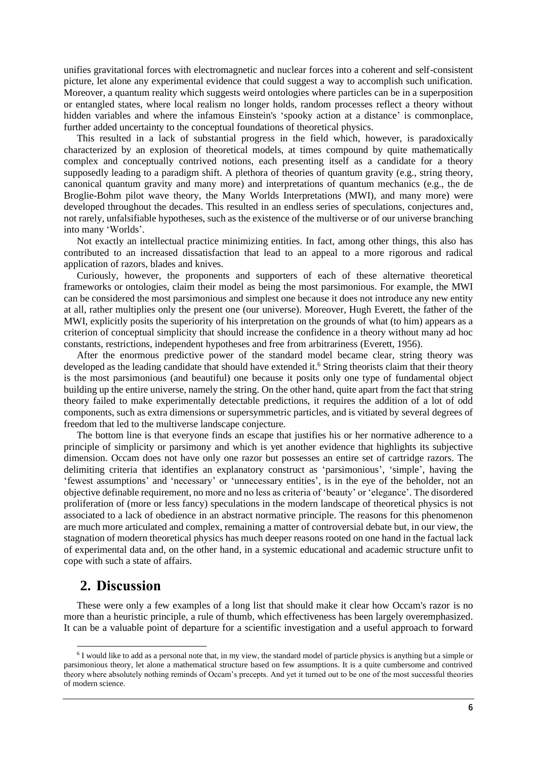unifies gravitational forces with electromagnetic and nuclear forces into a coherent and self-consistent picture, let alone any experimental evidence that could suggest a way to accomplish such unification. Moreover, a quantum reality which suggests weird ontologies where particles can be in a superposition or entangled states, where local realism no longer holds, random processes reflect a theory without hidden variables and where the infamous Einstein's 'spooky action at a distance' is commonplace, further added uncertainty to the conceptual foundations of theoretical physics.

This resulted in a lack of substantial progress in the field which, however, is paradoxically characterized by an explosion of theoretical models, at times compound by quite mathematically complex and conceptually contrived notions, each presenting itself as a candidate for a theory supposedly leading to a paradigm shift. A plethora of theories of quantum gravity (e.g., string theory, canonical quantum gravity and many more) and interpretations of quantum mechanics (e.g., the de Broglie-Bohm pilot wave theory, the Many Worlds Interpretations (MWI), and many more) were developed throughout the decades. This resulted in an endless series of speculations, conjectures and, not rarely, unfalsifiable hypotheses, such as the existence of the multiverse or of our universe branching into many 'Worlds'.

Not exactly an intellectual practice minimizing entities. In fact, among other things, this also has contributed to an increased dissatisfaction that lead to an appeal to a more rigorous and radical application of razors, blades and knives.

Curiously, however, the proponents and supporters of each of these alternative theoretical frameworks or ontologies, claim their model as being the most parsimonious. For example, the MWI can be considered the most parsimonious and simplest one because it does not introduce any new entity at all, rather multiplies only the present one (our universe). Moreover, Hugh Everett, the father of the MWI, explicitly posits the superiority of his interpretation on the grounds of what (to him) appears as a criterion of conceptual simplicity that should increase the confidence in a theory without many ad hoc constants, restrictions, independent hypotheses and free from arbitrariness (Everett, 1956).

After the enormous predictive power of the standard model became clear, string theory was developed as the leading candidate that should have extended it.<sup>6</sup> String theorists claim that their theory is the most parsimonious (and beautiful) one because it posits only one type of fundamental object building up the entire universe, namely the string. On the other hand, quite apart from the fact that string theory failed to make experimentally detectable predictions, it requires the addition of a lot of odd components, such as extra dimensions or supersymmetric particles, and is vitiated by several degrees of freedom that led to the multiverse landscape conjecture.

The bottom line is that everyone finds an escape that justifies his or her normative adherence to a principle of simplicity or parsimony and which is yet another evidence that highlights its subjective dimension. Occam does not have only one razor but possesses an entire set of cartridge razors. The delimiting criteria that identifies an explanatory construct as 'parsimonious', 'simple', having the 'fewest assumptions' and 'necessary' or 'unnecessary entities', is in the eye of the beholder, not an objective definable requirement, no more and no less as criteria of 'beauty' or 'elegance'. The disordered proliferation of (more or less fancy) speculations in the modern landscape of theoretical physics is not associated to a lack of obedience in an abstract normative principle. The reasons for this phenomenon are much more articulated and complex, remaining a matter of controversial debate but, in our view, the stagnation of modern theoretical physics has much deeper reasons rooted on one hand in the factual lack of experimental data and, on the other hand, in a systemic educational and academic structure unfit to cope with such a state of affairs.

### **2. Discussion**

These were only a few examples of a long list that should make it clear how Occam's razor is no more than a heuristic principle, a rule of thumb, which effectiveness has been largely overemphasized. It can be a valuable point of departure for a scientific investigation and a useful approach to forward

<sup>&</sup>lt;sup>6</sup> I would like to add as a personal note that, in my view, the standard model of particle physics is anything but a simple or parsimonious theory, let alone a mathematical structure based on few assumptions. It is a quite cumbersome and contrived theory where absolutely nothing reminds of Occam's precepts. And yet it turned out to be one of the most successful theories of modern science.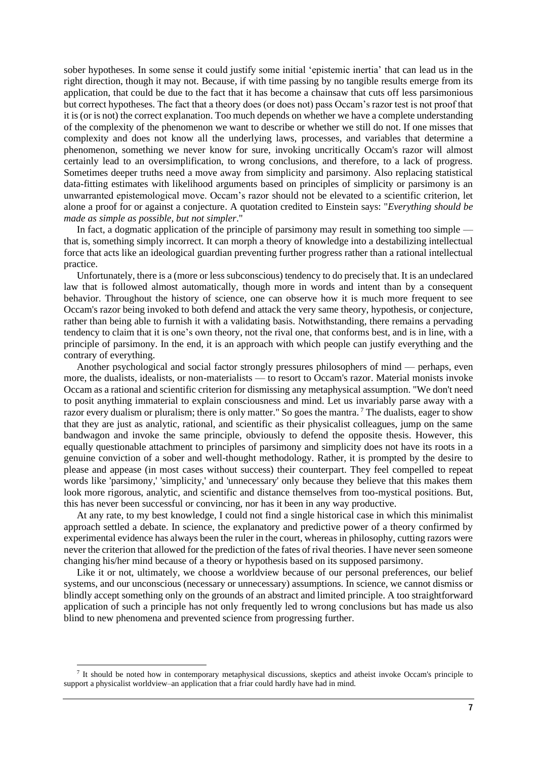sober hypotheses. In some sense it could justify some initial 'epistemic inertia' that can lead us in the right direction, though it may not. Because, if with time passing by no tangible results emerge from its application, that could be due to the fact that it has become a chainsaw that cuts off less parsimonious but correct hypotheses. The fact that a theory does (or does not) pass Occam's razor test is not proof that it is (or is not) the correct explanation. Too much depends on whether we have a complete understanding of the complexity of the phenomenon we want to describe or whether we still do not. If one misses that complexity and does not know all the underlying laws, processes, and variables that determine a phenomenon, something we never know for sure, invoking uncritically Occam's razor will almost certainly lead to an oversimplification, to wrong conclusions, and therefore, to a lack of progress. Sometimes deeper truths need a move away from simplicity and parsimony. Also replacing statistical data-fitting estimates with likelihood arguments based on principles of simplicity or parsimony is an unwarranted epistemological move. Occam's razor should not be elevated to a scientific criterion, let alone a proof for or against a conjecture. A quotation credited to Einstein says: "*Everything should be made as simple as possible, but not simpler*."

In fact, a dogmatic application of the principle of parsimony may result in something too simple that is, something simply incorrect. It can morph a theory of knowledge into a destabilizing intellectual force that acts like an ideological guardian preventing further progress rather than a rational intellectual practice.

Unfortunately, there is a (more or less subconscious) tendency to do precisely that. It is an undeclared law that is followed almost automatically, though more in words and intent than by a consequent behavior. Throughout the history of science, one can observe how it is much more frequent to see Occam's razor being invoked to both defend and attack the very same theory, hypothesis, or conjecture, rather than being able to furnish it with a validating basis. Notwithstanding, there remains a pervading tendency to claim that it is one's own theory, not the rival one, that conforms best, and is in line, with a principle of parsimony. In the end, it is an approach with which people can justify everything and the contrary of everything.

Another psychological and social factor strongly pressures philosophers of mind — perhaps, even more, the dualists, idealists, or non-materialists — to resort to Occam's razor. Material monists invoke Occam as a rational and scientific criterion for dismissing any metaphysical assumption. "We don't need to posit anything immaterial to explain consciousness and mind. Let us invariably parse away with a razor every dualism or pluralism; there is only matter." So goes the mantra.  $\frac{7}{7}$  The dualists, eager to show that they are just as analytic, rational, and scientific as their physicalist colleagues, jump on the same bandwagon and invoke the same principle, obviously to defend the opposite thesis. However, this equally questionable attachment to principles of parsimony and simplicity does not have its roots in a genuine conviction of a sober and well-thought methodology. Rather, it is prompted by the desire to please and appease (in most cases without success) their counterpart. They feel compelled to repeat words like 'parsimony,' 'simplicity,' and 'unnecessary' only because they believe that this makes them look more rigorous, analytic, and scientific and distance themselves from too-mystical positions. But, this has never been successful or convincing, nor has it been in any way productive.

At any rate, to my best knowledge, I could not find a single historical case in which this minimalist approach settled a debate. In science, the explanatory and predictive power of a theory confirmed by experimental evidence has always been the ruler in the court, whereas in philosophy, cutting razors were never the criterion that allowed for the prediction of the fates of rival theories. I have never seen someone changing his/her mind because of a theory or hypothesis based on its supposed parsimony.

Like it or not, ultimately, we choose a worldview because of our personal preferences, our belief systems, and our unconscious (necessary or unnecessary) assumptions. In science, we cannot dismiss or blindly accept something only on the grounds of an abstract and limited principle. A too straightforward application of such a principle has not only frequently led to wrong conclusions but has made us also blind to new phenomena and prevented science from progressing further.

<sup>&</sup>lt;sup>7</sup> It should be noted how in contemporary metaphysical discussions, skeptics and atheist invoke Occam's principle to support a physicalist worldview–an application that a friar could hardly have had in mind.